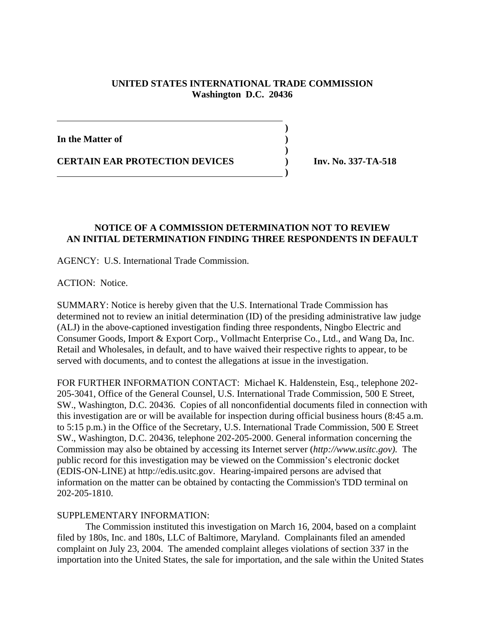## **UNITED STATES INTERNATIONAL TRADE COMMISSION Washington D.C. 20436**

 **)**

**)**

**In the Matter of )**

**CERTAIN EAR PROTECTION DEVICES ) Inv. No. 337-TA-518**

 **)**

## **NOTICE OF A COMMISSION DETERMINATION NOT TO REVIEW AN INITIAL DETERMINATION FINDING THREE RESPONDENTS IN DEFAULT**

AGENCY: U.S. International Trade Commission.

ACTION: Notice.

SUMMARY: Notice is hereby given that the U.S. International Trade Commission has determined not to review an initial determination (ID) of the presiding administrative law judge (ALJ) in the above-captioned investigation finding three respondents, Ningbo Electric and Consumer Goods, Import & Export Corp., Vollmacht Enterprise Co., Ltd., and Wang Da, Inc. Retail and Wholesales, in default, and to have waived their respective rights to appear, to be served with documents, and to contest the allegations at issue in the investigation.

FOR FURTHER INFORMATION CONTACT: Michael K. Haldenstein, Esq., telephone 202- 205-3041, Office of the General Counsel, U.S. International Trade Commission, 500 E Street, SW., Washington, D.C. 20436. Copies of all nonconfidential documents filed in connection with this investigation are or will be available for inspection during official business hours (8:45 a.m. to 5:15 p.m.) in the Office of the Secretary, U.S. International Trade Commission, 500 E Street SW., Washington, D.C. 20436, telephone 202-205-2000. General information concerning the Commission may also be obtained by accessing its Internet server (*http://www.usitc.gov).* The public record for this investigation may be viewed on the Commission's electronic docket (EDIS-ON-LINE) at http://edis.usitc.gov. Hearing-impaired persons are advised that information on the matter can be obtained by contacting the Commission's TDD terminal on 202-205-1810.

## SUPPLEMENTARY INFORMATION:

The Commission instituted this investigation on March 16, 2004, based on a complaint filed by 180s, Inc. and 180s, LLC of Baltimore, Maryland. Complainants filed an amended complaint on July 23, 2004. The amended complaint alleges violations of section 337 in the importation into the United States, the sale for importation, and the sale within the United States